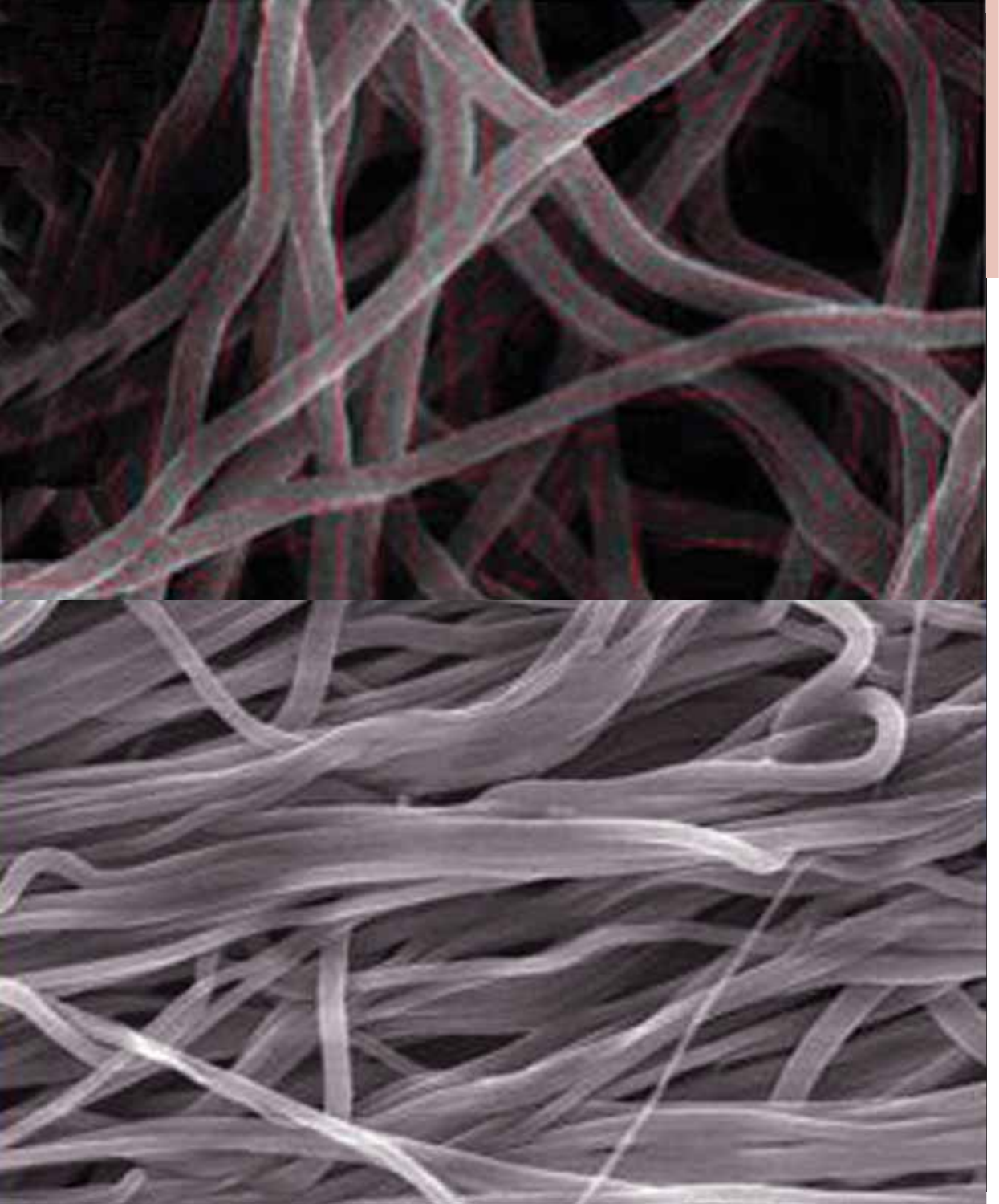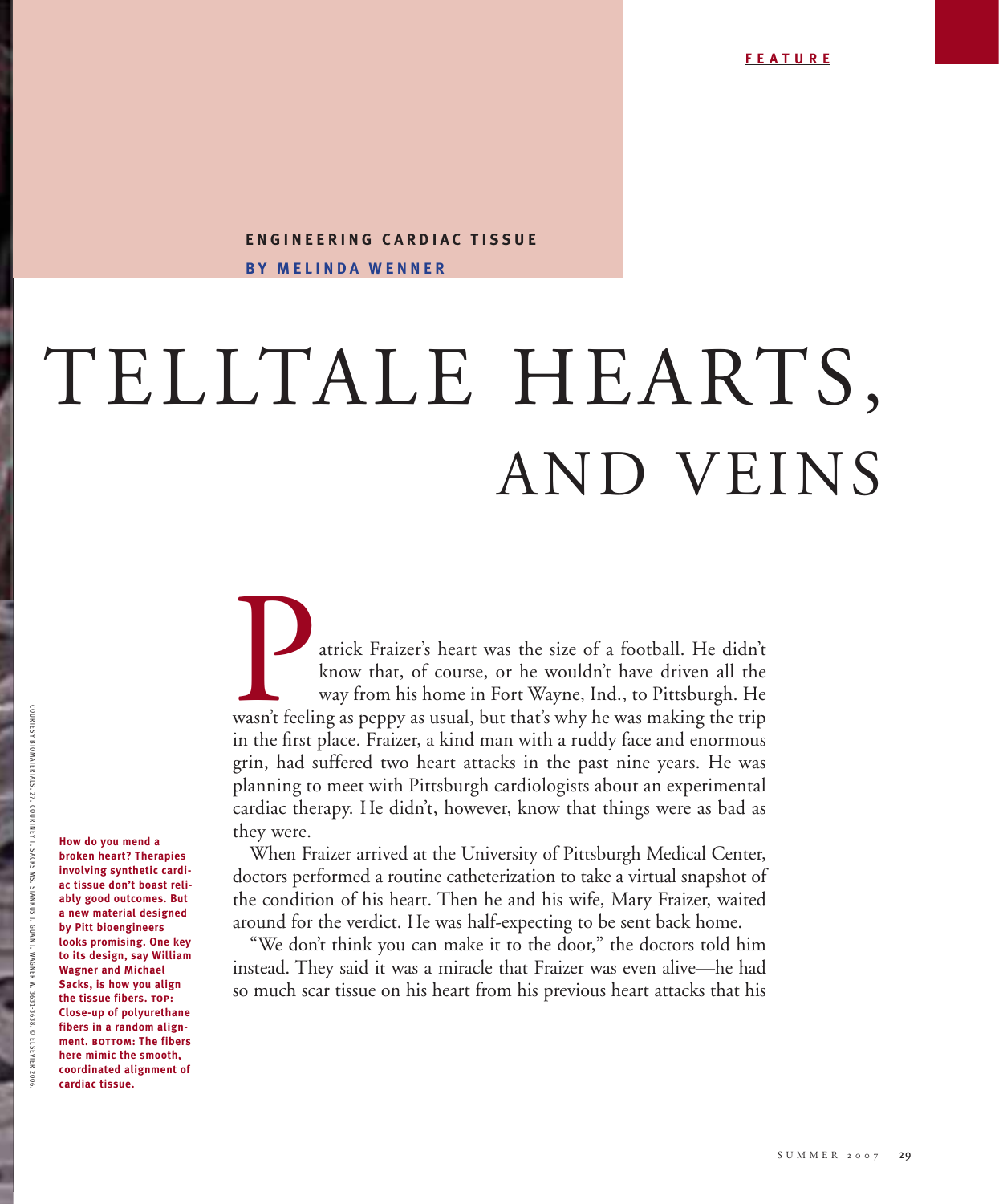## **ENGINEERING CARDIAC TISSUE BY MELINDA WENNER**

## TELLTALE HEARTS, AND VEINS

atrick Fraizer's heart was the size of a football. He didn't<br>know that, of course, or he wouldn't have driven all the<br>way from his home in Fort Wayne, Ind., to Pittsburgh. He<br>wasn't feeling as peppy as usual, but that's wh know that, of course, or he wouldn't have driven all the way from his home in Fort Wayne, Ind., to Pittsburgh. He wasn't feeling as peppy as usual, but that's why he was making the trip in the first place. Fraizer, a kind man with a ruddy face and enormous grin, had suffered two heart attacks in the past nine years. He was planning to meet with Pittsburgh cardiologists about an experimental cardiac therapy. He didn't, however, know that things were as bad as they were.

When Fraizer arrived at the University of Pittsburgh Medical Center, doctors performed a routine catheterization to take a virtual snapshot of the condition of his heart. Then he and his wife, Mary Fraizer, waited around for the verdict. He was half-expecting to be sent back home.

"We don't think you can make it to the door," the doctors told him instead. They said it was a miracle that Fraizer was even alive—he had so much scar tissue on his heart from his previous heart attacks that his

**How do you mend a broken heart? Therapies involving synthetic cardiac tissue don't boast reliably good outcomes. But a new material designed by Pitt bioengineers looks promising. One key to its design, say William Wagner and Michael Sacks, is how you align the tissue fibers. top: Close-up of polyurethane fibers in a random align** $ment.$  **BOTTOM**: The fibers **here mimic the smooth, coordinated alignment of cardiac tissue.**

RTE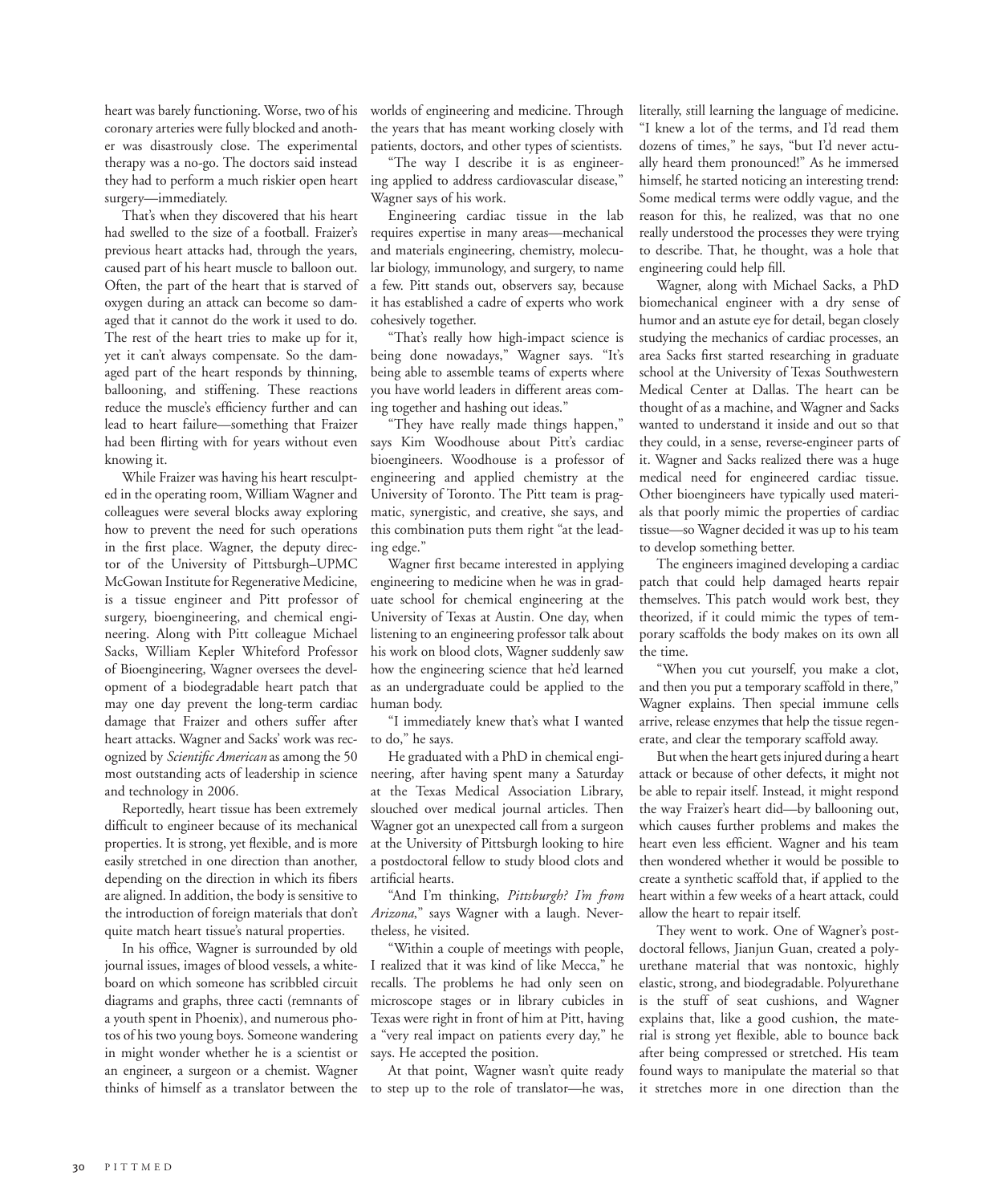heart was barely functioning. Worse, two of his coronary arteries were fully blocked and another was disastrously close. The experimental therapy was a no-go. The doctors said instead they had to perform a much riskier open heart surgery—immediately.

That's when they discovered that his heart had swelled to the size of a football. Fraizer's previous heart attacks had, through the years, caused part of his heart muscle to balloon out. Often, the part of the heart that is starved of oxygen during an attack can become so damaged that it cannot do the work it used to do. The rest of the heart tries to make up for it, yet it can't always compensate. So the damaged part of the heart responds by thinning, ballooning, and stiffening. These reactions reduce the muscle's efficiency further and can lead to heart failure—something that Fraizer had been flirting with for years without even knowing it.

While Fraizer was having his heart resculpted in the operating room, William Wagner and colleagues were several blocks away exploring how to prevent the need for such operations in the first place. Wagner, the deputy director of the University of Pittsburgh–UPMC McGowan Institute for Regenerative Medicine, is a tissue engineer and Pitt professor of surgery, bioengineering, and chemical engineering. Along with Pitt colleague Michael Sacks, William Kepler Whiteford Professor of Bioengineering, Wagner oversees the development of a biodegradable heart patch that may one day prevent the long-term cardiac damage that Fraizer and others suffer after heart attacks. Wagner and Sacks' work was recognized by *Scientific American* as among the 50 most outstanding acts of leadership in science and technology in 2006.

Reportedly, heart tissue has been extremely difficult to engineer because of its mechanical properties. It is strong, yet flexible, and is more easily stretched in one direction than another, depending on the direction in which its fibers are aligned. In addition, the body is sensitive to the introduction of foreign materials that don't quite match heart tissue's natural properties.

In his office, Wagner is surrounded by old journal issues, images of blood vessels, a whiteboard on which someone has scribbled circuit diagrams and graphs, three cacti (remnants of a youth spent in Phoenix), and numerous photos of his two young boys. Someone wandering in might wonder whether he is a scientist or an engineer, a surgeon or a chemist. Wagner thinks of himself as a translator between the worlds of engineering and medicine. Through the years that has meant working closely with patients, doctors, and other types of scientists.

"The way I describe it is as engineering applied to address cardiovascular disease," Wagner says of his work.

Engineering cardiac tissue in the lab requires expertise in many areas—mechanical and materials engineering, chemistry, molecular biology, immunology, and surgery, to name a few. Pitt stands out, observers say, because it has established a cadre of experts who work cohesively together.

"That's really how high-impact science is being done nowadays," Wagner says. "It's being able to assemble teams of experts where you have world leaders in different areas coming together and hashing out ideas."

"They have really made things happen," says Kim Woodhouse about Pitt's cardiac bioengineers. Woodhouse is a professor of engineering and applied chemistry at the University of Toronto. The Pitt team is pragmatic, synergistic, and creative, she says, and this combination puts them right "at the leading edge."

Wagner first became interested in applying engineering to medicine when he was in graduate school for chemical engineering at the University of Texas at Austin*.* One day, when listening to an engineering professor talk about his work on blood clots, Wagner suddenly saw how the engineering science that he'd learned as an undergraduate could be applied to the human body.

"I immediately knew that's what I wanted to do," he says.

He graduated with a PhD in chemical engineering, after having spent many a Saturday at the Texas Medical Association Library, slouched over medical journal articles. Then Wagner got an unexpected call from a surgeon at the University of Pittsburgh looking to hire a postdoctoral fellow to study blood clots and artificial hearts.

"And I'm thinking, *Pittsburgh? I'm from Arizona*," says Wagner with a laugh. Nevertheless, he visited.

"Within a couple of meetings with people, I realized that it was kind of like Mecca," he recalls. The problems he had only seen on microscope stages or in library cubicles in Texas were right in front of him at Pitt, having a "very real impact on patients every day," he says. He accepted the position.

At that point, Wagner wasn't quite ready to step up to the role of translator—he was,

literally, still learning the language of medicine. "I knew a lot of the terms, and I'd read them dozens of times," he says, "but I'd never actually heard them pronounced!" As he immersed himself, he started noticing an interesting trend: Some medical terms were oddly vague, and the reason for this, he realized, was that no one really understood the processes they were trying to describe. That, he thought, was a hole that engineering could help fill.

Wagner, along with Michael Sacks, a PhD biomechanical engineer with a dry sense of humor and an astute eye for detail, began closely studying the mechanics of cardiac processes, an area Sacks first started researching in graduate school at the University of Texas Southwestern Medical Center at Dallas. The heart can be thought of as a machine, and Wagner and Sacks wanted to understand it inside and out so that they could, in a sense, reverse-engineer parts of it. Wagner and Sacks realized there was a huge medical need for engineered cardiac tissue. Other bioengineers have typically used materials that poorly mimic the properties of cardiac tissue—so Wagner decided it was up to his team to develop something better.

The engineers imagined developing a cardiac patch that could help damaged hearts repair themselves. This patch would work best, they theorized, if it could mimic the types of temporary scaffolds the body makes on its own all the time.

"When you cut yourself, you make a clot, and then you put a temporary scaffold in there," Wagner explains. Then special immune cells arrive, release enzymes that help the tissue regenerate, and clear the temporary scaffold away.

But when the heart gets injured during a heart attack or because of other defects, it might not be able to repair itself. Instead, it might respond the way Fraizer's heart did—by ballooning out, which causes further problems and makes the heart even less efficient. Wagner and his team then wondered whether it would be possible to create a synthetic scaffold that, if applied to the heart within a few weeks of a heart attack, could allow the heart to repair itself.

They went to work. One of Wagner's postdoctoral fellows, Jianjun Guan, created a polyurethane material that was nontoxic, highly elastic, strong, and biodegradable. Polyurethane is the stuff of seat cushions, and Wagner explains that, like a good cushion, the material is strong yet flexible, able to bounce back after being compressed or stretched. His team found ways to manipulate the material so that it stretches more in one direction than the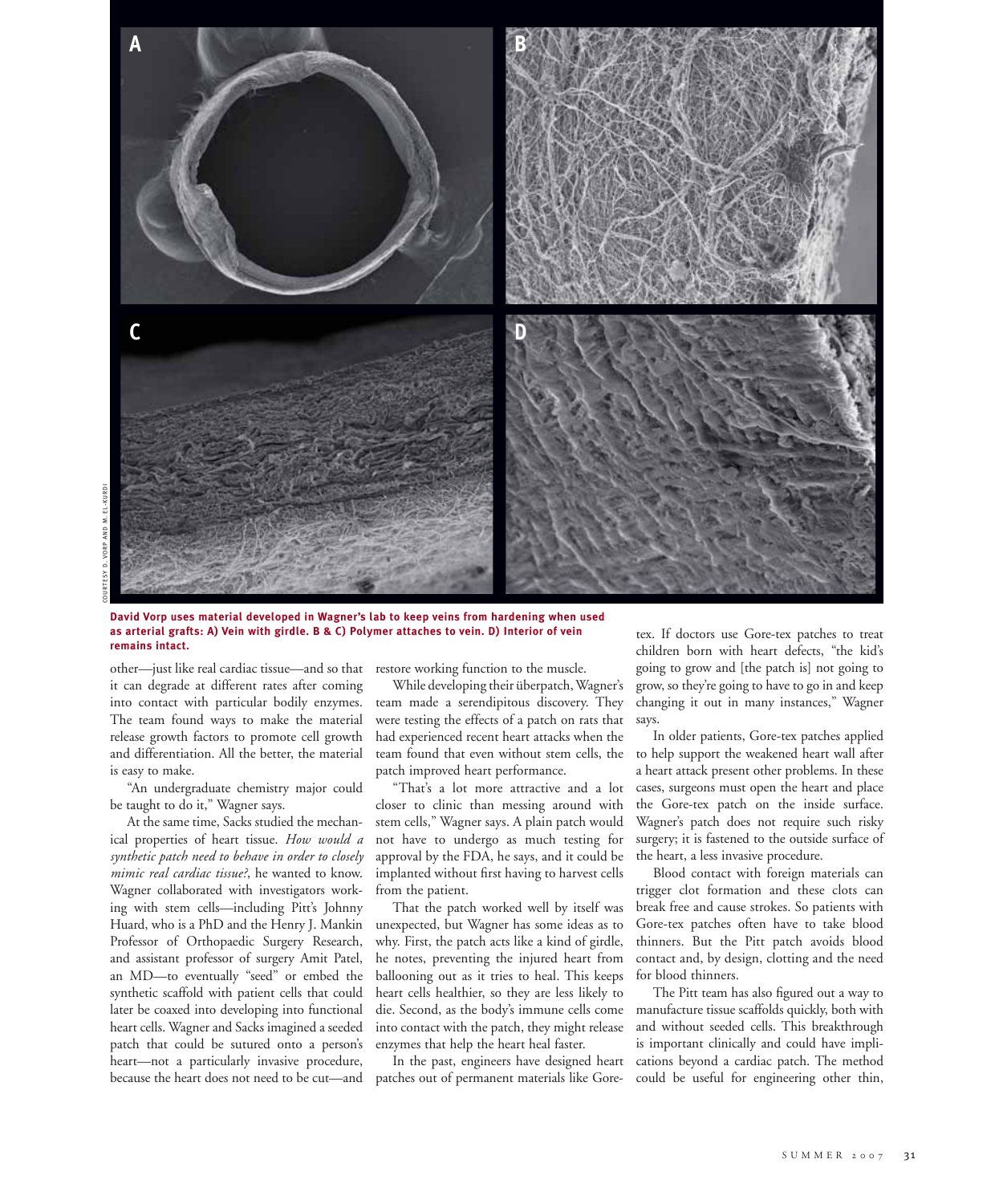

**David Vorp uses material developed in Wagner's lab to keep veins from hardening when used as arterial grafts: A) Vein with girdle. B & C) Polymer attaches to vein. D) Interior of vein remains intact.**

other—just like real cardiac tissue—and so that it can degrade at different rates after coming into contact with particular bodily enzymes. The team found ways to make the material release growth factors to promote cell growth and differentiation. All the better, the material is easy to make.

"An undergraduate chemistry major could be taught to do it," Wagner says.

At the same time, Sacks studied the mechanical properties of heart tissue. *How would a synthetic patch need to behave in order to closely mimic real cardiac tissue?*, he wanted to know. Wagner collaborated with investigators working with stem cells—including Pitt's Johnny Huard, who is a PhD and the Henry J. Mankin Professor of Orthopaedic Surgery Research, and assistant professor of surgery Amit Patel, an MD—to eventually "seed" or embed the synthetic scaffold with patient cells that could later be coaxed into developing into functional heart cells. Wagner and Sacks imagined a seeded patch that could be sutured onto a person's heart—not a particularly invasive procedure, because the heart does not need to be cut—and

restore working function to the muscle.

While developing their überpatch, Wagner's team made a serendipitous discovery. They were testing the effects of a patch on rats that had experienced recent heart attacks when the team found that even without stem cells, the patch improved heart performance.

"That's a lot more attractive and a lot closer to clinic than messing around with stem cells," Wagner says. A plain patch would not have to undergo as much testing for approval by the FDA, he says, and it could be implanted without first having to harvest cells from the patient.

That the patch worked well by itself was unexpected, but Wagner has some ideas as to why. First, the patch acts like a kind of girdle, he notes, preventing the injured heart from ballooning out as it tries to heal. This keeps heart cells healthier, so they are less likely to die. Second, as the body's immune cells come into contact with the patch, they might release enzymes that help the heart heal faster.

In the past, engineers have designed heart patches out of permanent materials like Goretex. If doctors use Gore-tex patches to treat children born with heart defects, "the kid's going to grow and [the patch is] not going to grow, so they're going to have to go in and keep changing it out in many instances," Wagner says.

In older patients, Gore-tex patches applied to help support the weakened heart wall after a heart attack present other problems. In these cases, surgeons must open the heart and place the Gore-tex patch on the inside surface. Wagner's patch does not require such risky surgery; it is fastened to the outside surface of the heart, a less invasive procedure.

Blood contact with foreign materials can trigger clot formation and these clots can break free and cause strokes. So patients with Gore-tex patches often have to take blood thinners. But the Pitt patch avoids blood contact and, by design, clotting and the need for blood thinners.

The Pitt team has also figured out a way to manufacture tissue scaffolds quickly, both with and without seeded cells. This breakthrough is important clinically and could have implications beyond a cardiac patch. The method could be useful for engineering other thin,